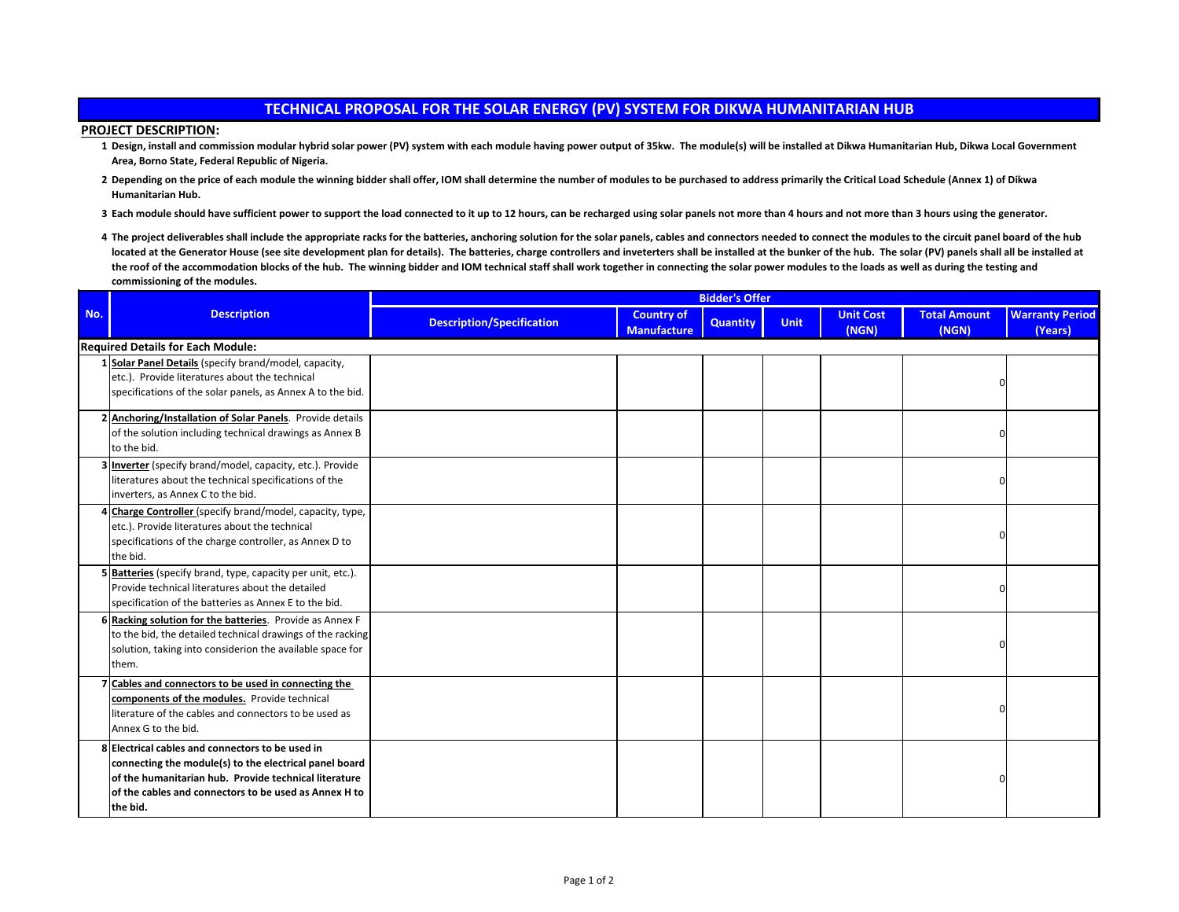## **TECHNICAL PROPOSAL FOR THE SOLAR ENERGY (PV) SYSTEM FOR DIKWA HUMANITARIAN HUB**

## **PROJECT DESCRIPTION:**

- **1 Design, install and commission modular hybrid solar power (PV) system with each module having power output of 35kw. The module(s) will be installed at Dikwa Humanitarian Hub, Dikwa Local Government Area, Borno State, Federal Republic of Nigeria.**
- **2 Depending on the price of each module the winning bidder shall offer, IOM shall determine the number of modules to be purchased to address primarily the Critical Load Schedule (Annex 1) of Dikwa Humanitarian Hub.**
- **3 Each module should have sufficient power to support the load connected to it up to 12 hours, can be recharged using solar panels not more than 4 hours and not more than 3 hours using the generator.**
- 4 The project deliverables shall include the appropriate racks for the batteries, anchoring solution for the solar panels, cables and connectors needed to connect the modules to the circuit panel board of the hub located at the Generator House (see site development plan for details). The batteries, charge controllers and inveterters shall be installed at the bunker of the hub. The solar (PV) panels shall all be installed at **the roof of the accommodation blocks of the hub. The winning bidder and IOM technical staff shall work together in connecting the solar power modules to the loads as well as during the testing and commissioning of the modules.**

|     |                                                                                                                                                                                                                                          | <b>Bidder's Offer</b>            |                                         |                 |             |                           |                              |                                   |
|-----|------------------------------------------------------------------------------------------------------------------------------------------------------------------------------------------------------------------------------------------|----------------------------------|-----------------------------------------|-----------------|-------------|---------------------------|------------------------------|-----------------------------------|
| No. | <b>Description</b>                                                                                                                                                                                                                       | <b>Description/Specification</b> | <b>Country of</b><br><b>Manufacture</b> | <b>Quantity</b> | <b>Unit</b> | <b>Unit Cost</b><br>(NGN) | <b>Total Amount</b><br>(NGN) | <b>Warranty Period</b><br>(Years) |
|     | <b>Required Details for Each Module:</b>                                                                                                                                                                                                 |                                  |                                         |                 |             |                           |                              |                                   |
|     | 1 Solar Panel Details (specify brand/model, capacity,<br>etc.). Provide literatures about the technical<br>specifications of the solar panels, as Annex A to the bid.                                                                    |                                  |                                         |                 |             |                           | $\Omega$                     |                                   |
|     | 2 Anchoring/Installation of Solar Panels. Provide details<br>of the solution including technical drawings as Annex B<br>to the bid.                                                                                                      |                                  |                                         |                 |             |                           |                              |                                   |
|     | 3 Inverter (specify brand/model, capacity, etc.). Provide<br>literatures about the technical specifications of the<br>inverters, as Annex C to the bid.                                                                                  |                                  |                                         |                 |             |                           |                              |                                   |
|     | Charge Controller (specify brand/model, capacity, type,<br>etc.). Provide literatures about the technical<br>specifications of the charge controller, as Annex D to<br>the bid.                                                          |                                  |                                         |                 |             |                           | n                            |                                   |
|     | 5 Batteries (specify brand, type, capacity per unit, etc.).<br>Provide technical literatures about the detailed<br>specification of the batteries as Annex E to the bid.                                                                 |                                  |                                         |                 |             |                           | ŋ                            |                                   |
|     | 6 Racking solution for the batteries. Provide as Annex F<br>to the bid, the detailed technical drawings of the racking<br>solution, taking into considerion the available space for<br>them.                                             |                                  |                                         |                 |             |                           | $\Omega$                     |                                   |
|     | 7 Cables and connectors to be used in connecting the<br>components of the modules. Provide technical<br>literature of the cables and connectors to be used as<br>Annex G to the bid.                                                     |                                  |                                         |                 |             |                           |                              |                                   |
|     | 8 Electrical cables and connectors to be used in<br>connecting the module(s) to the electrical panel board<br>of the humanitarian hub. Provide technical literature<br>of the cables and connectors to be used as Annex H to<br>the bid. |                                  |                                         |                 |             |                           |                              |                                   |